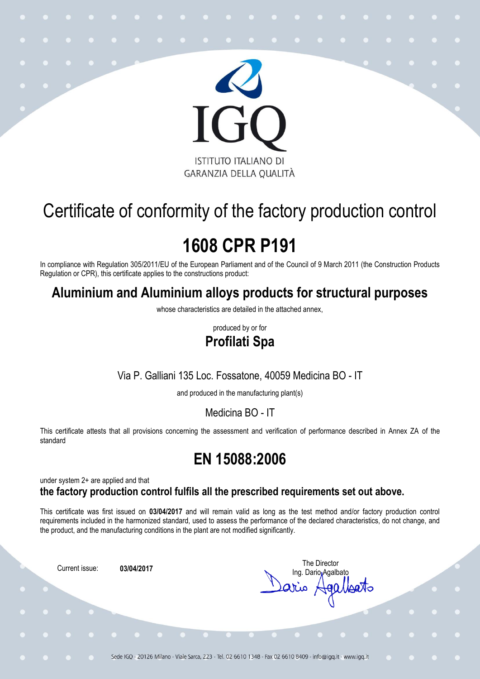

# Certificate of conformity of the factory production control

# **1608 CPR P191**

In compliance with Regulation 305/2011/EU of the European Parliament and of the Council of 9 March 2011 (the Construction Products Regulation or CPR), this certificate applies to the constructions product:

### **Aluminium and Aluminium alloys products for structural purposes**

whose characteristics are detailed in the attached annex,

produced by or for

### **Profilati Spa**

#### Via P. Galliani 135 Loc. Fossatone, 40059 Medicina BO - IT

and produced in the manufacturing plant(s)

Medicina BO - IT

This certificate attests that all provisions concerning the assessment and verification of performance described in Annex ZA of the standard

## **EN 15088:2006**

under system 2+ are applied and that

#### **the factory production control fulfils all the prescribed requirements set out above.**

This certificate was first issued on **03/04/2017** and will remain valid as long as the test method and/or factory production control requirements included in the harmonized standard, used to assess the performance of the declared characteristics, do not change, and the product, and the manufacturing conditions in the plant are not modified significantly.

Current issue: **03/04/2017**

The Director Ing. Dario Agalbato ario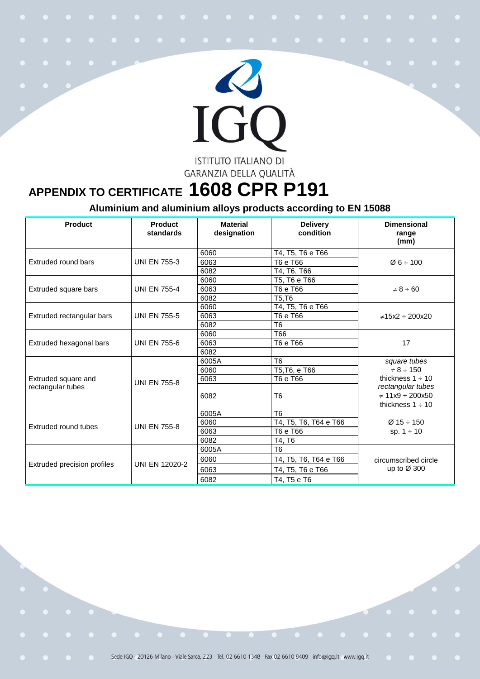

## **APPENDIX TO CERTIFICATE 1608 CPR P191**

#### **Aluminium and aluminium alloys products according to EN 15088**

| Product                                  | Product<br>standards  | <b>Material</b><br>designation | <b>Delivery</b><br>condition | <b>Dimensional</b><br>range<br>(mm)                                                                                                   |
|------------------------------------------|-----------------------|--------------------------------|------------------------------|---------------------------------------------------------------------------------------------------------------------------------------|
|                                          |                       | 6060                           | T4, T5, T6 e T66             |                                                                                                                                       |
| Extruded round bars                      | <b>UNI EN 755-3</b>   | 6063                           | T6 e T66                     | Ø6 ÷ 100                                                                                                                              |
|                                          |                       | 6082                           | T4, T6, T66                  |                                                                                                                                       |
| Extruded square bars                     | <b>UNI EN 755-4</b>   | 6060                           | T5, T6 e T66                 | $\neq 8 \div 60$                                                                                                                      |
|                                          |                       | 6063                           | T6 e T66                     |                                                                                                                                       |
|                                          |                       | 6082                           | T5, T6                       |                                                                                                                                       |
|                                          |                       | 6060                           | T4, T5, T6 e T66             |                                                                                                                                       |
| Extruded rectangular bars                | <b>UNI EN 755-5</b>   | 6063                           | T6 e T66                     | $\neq$ 15x2 ÷ 200x20                                                                                                                  |
|                                          |                       | 6082                           | T <sub>6</sub>               |                                                                                                                                       |
|                                          |                       | 6060                           | T <sub>66</sub>              | 17                                                                                                                                    |
| Extruded hexagonal bars                  | <b>UNI EN 755-6</b>   | 6063                           | T6 e T66                     |                                                                                                                                       |
|                                          |                       | 6082                           |                              |                                                                                                                                       |
| Extruded square and<br>rectangular tubes | <b>UNI EN 755-8</b>   | 6005A                          | T <sub>6</sub>               | square tubes<br>$\neq 8 \div 150$<br>thickness $1 \div 10$<br>rectangular tubes<br>$\neq$ 11x9 $\div$ 200x50<br>thickness $1 \div 10$ |
|                                          |                       | 6060                           | T5, T6, e T66                |                                                                                                                                       |
|                                          |                       | 6063                           | T6 e T66                     |                                                                                                                                       |
|                                          |                       | 6082                           | T <sub>6</sub>               |                                                                                                                                       |
| Extruded round tubes                     | <b>UNI EN 755-8</b>   | 6005A                          | T <sub>6</sub>               | $Ø$ 15 ÷ 150<br>sp. $1 \div 10$                                                                                                       |
|                                          |                       | 6060                           | T4, T5, T6, T64 e T66        |                                                                                                                                       |
|                                          |                       | 6063                           | T6 e T66                     |                                                                                                                                       |
|                                          |                       | 6082                           | T4, T6                       |                                                                                                                                       |
| Extruded precision profiles              | <b>UNI EN 12020-2</b> | 6005A                          | T <sub>6</sub>               | circumscribed circle<br>up to $\varnothing$ 300                                                                                       |
|                                          |                       | 6060                           | T4, T5, T6, T64 e T66        |                                                                                                                                       |
|                                          |                       | 6063                           | T4, T5, T6 e T66             |                                                                                                                                       |
|                                          |                       | 6082                           | T4, T5 e T6                  |                                                                                                                                       |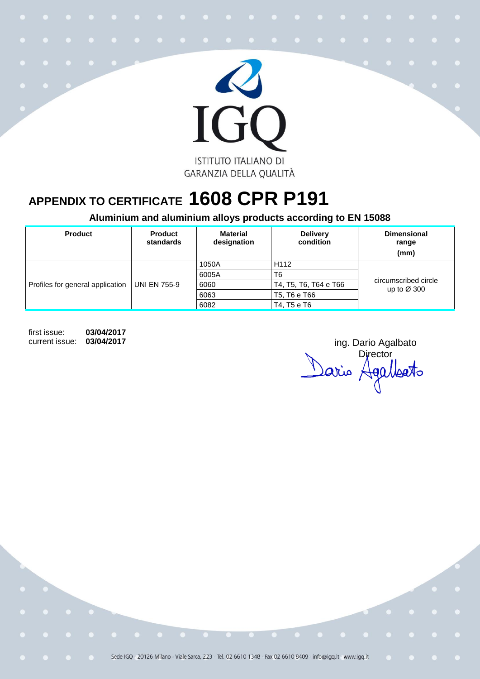

## **APPENDIX TO CERTIFICATE 1608 CPR P191**

**Aluminium and aluminium alloys products according to EN 15088**

| <b>Product</b>                   | <b>Product</b><br>standards | <b>Material</b><br>designation | <b>Delivery</b><br>condition | <b>Dimensional</b><br>range<br>(mm)             |
|----------------------------------|-----------------------------|--------------------------------|------------------------------|-------------------------------------------------|
| Profiles for general application | <b>UNI EN 755-9</b>         | 1050A                          | H <sub>112</sub>             | circumscribed circle<br>up to $\varnothing$ 300 |
|                                  |                             | 6005A                          | T6                           |                                                 |
|                                  |                             | 6060                           | T4, T5, T6, T64 e T66        |                                                 |
|                                  |                             | 6063                           | T5, T6 e T66                 |                                                 |
|                                  |                             | 6082                           | T4, T5 e T6                  |                                                 |

first issue: **03/04/2017**

current issue: 03/04/2017 **ing.** Dario Agalbato **Director** Sario Agalleato